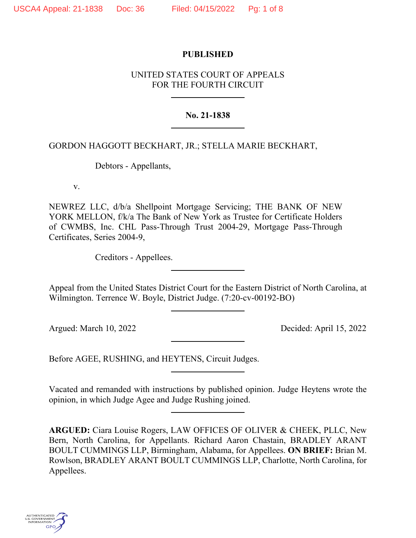### **PUBLISHED**

# UNITED STATES COURT OF APPEALS FOR THE FOURTH CIRCUIT

### **No. 21-1838**

## GORDON HAGGOTT BECKHART, JR.; STELLA MARIE BECKHART,

Debtors - Appellants,

v.

NEWREZ LLC, d/b/a Shellpoint Mortgage Servicing; THE BANK OF NEW YORK MELLON, f/k/a The Bank of New York as Trustee for Certificate Holders of CWMBS, Inc. CHL Pass-Through Trust 2004-29, Mortgage Pass-Through Certificates, Series 2004-9,

Creditors - Appellees.

Appeal from the United States District Court for the Eastern District of North Carolina, at Wilmington. Terrence W. Boyle, District Judge. (7:20-cv-00192-BO)

Argued: March 10, 2022 Decided: April 15, 2022

Before AGEE, RUSHING, and HEYTENS, Circuit Judges.

Vacated and remanded with instructions by published opinion. Judge Heytens wrote the opinion, in which Judge Agee and Judge Rushing joined.

**ARGUED:** Ciara Louise Rogers, LAW OFFICES OF OLIVER & CHEEK, PLLC, New Bern, North Carolina, for Appellants. Richard Aaron Chastain, BRADLEY ARANT BOULT CUMMINGS LLP, Birmingham, Alabama, for Appellees. **ON BRIEF:** Brian M. Rowlson, BRADLEY ARANT BOULT CUMMINGS LLP, Charlotte, North Carolina, for Appellees.

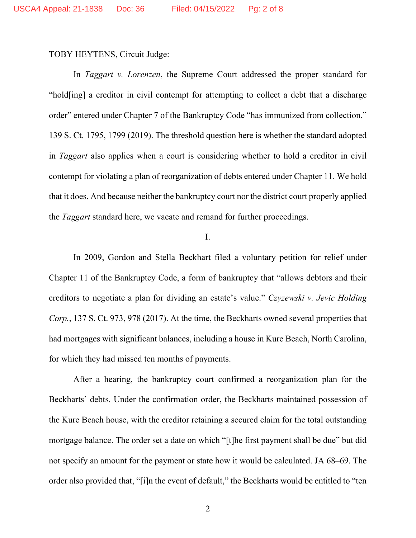TOBY HEYTENS, Circuit Judge:

In *Taggart v. Lorenzen*, the Supreme Court addressed the proper standard for "hold[ing] a creditor in civil contempt for attempting to collect a debt that a discharge order" entered under Chapter 7 of the Bankruptcy Code "has immunized from collection." 139 S. Ct. 1795, 1799 (2019). The threshold question here is whether the standard adopted in *Taggart* also applies when a court is considering whether to hold a creditor in civil contempt for violating a plan of reorganization of debts entered under Chapter 11. We hold that it does. And because neither the bankruptcy court nor the district court properly applied the *Taggart* standard here, we vacate and remand for further proceedings.

I.

In 2009, Gordon and Stella Beckhart filed a voluntary petition for relief under Chapter 11 of the Bankruptcy Code, a form of bankruptcy that "allows debtors and their creditors to negotiate a plan for dividing an estate's value." *Czyzewski v. Jevic Holding Corp.*, 137 S. Ct. 973, 978 (2017). At the time, the Beckharts owned several properties that had mortgages with significant balances, including a house in Kure Beach, North Carolina, for which they had missed ten months of payments.

After a hearing, the bankruptcy court confirmed a reorganization plan for the Beckharts' debts. Under the confirmation order, the Beckharts maintained possession of the Kure Beach house, with the creditor retaining a secured claim for the total outstanding mortgage balance. The order set a date on which "[t]he first payment shall be due" but did not specify an amount for the payment or state how it would be calculated. JA 68–69. The order also provided that, "[i]n the event of default," the Beckharts would be entitled to "ten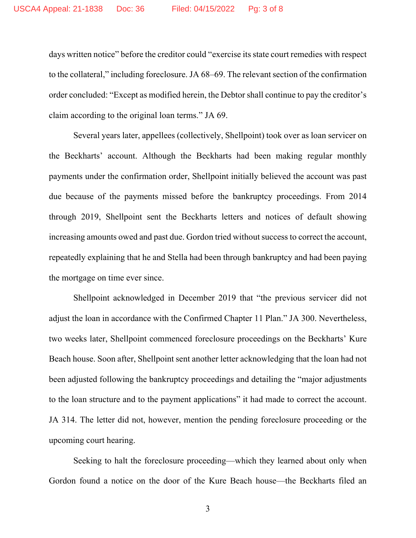days written notice" before the creditor could "exercise its state court remedies with respect to the collateral," including foreclosure. JA 68–69. The relevant section of the confirmation order concluded: "Except as modified herein, the Debtor shall continue to pay the creditor's claim according to the original loan terms." JA 69.

Several years later, appellees (collectively, Shellpoint) took over as loan servicer on the Beckharts' account. Although the Beckharts had been making regular monthly payments under the confirmation order, Shellpoint initially believed the account was past due because of the payments missed before the bankruptcy proceedings. From 2014 through 2019, Shellpoint sent the Beckharts letters and notices of default showing increasing amounts owed and past due. Gordon tried without success to correct the account, repeatedly explaining that he and Stella had been through bankruptcy and had been paying the mortgage on time ever since.

Shellpoint acknowledged in December 2019 that "the previous servicer did not adjust the loan in accordance with the Confirmed Chapter 11 Plan." JA 300. Nevertheless, two weeks later, Shellpoint commenced foreclosure proceedings on the Beckharts' Kure Beach house. Soon after, Shellpoint sent another letter acknowledging that the loan had not been adjusted following the bankruptcy proceedings and detailing the "major adjustments to the loan structure and to the payment applications" it had made to correct the account. JA 314. The letter did not, however, mention the pending foreclosure proceeding or the upcoming court hearing.

Seeking to halt the foreclosure proceeding—which they learned about only when Gordon found a notice on the door of the Kure Beach house—the Beckharts filed an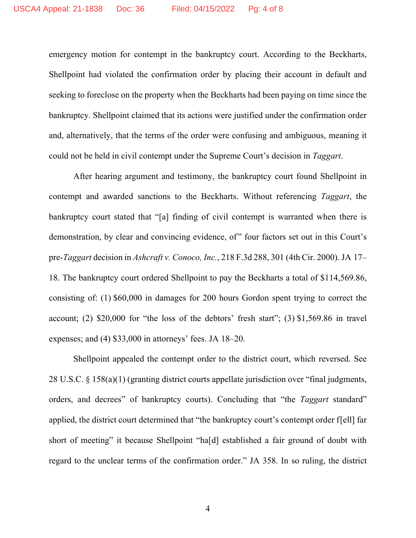emergency motion for contempt in the bankruptcy court. According to the Beckharts, Shellpoint had violated the confirmation order by placing their account in default and seeking to foreclose on the property when the Beckharts had been paying on time since the bankruptcy. Shellpoint claimed that its actions were justified under the confirmation order and, alternatively, that the terms of the order were confusing and ambiguous, meaning it could not be held in civil contempt under the Supreme Court's decision in *Taggart*.

After hearing argument and testimony, the bankruptcy court found Shellpoint in contempt and awarded sanctions to the Beckharts. Without referencing *Taggart*, the bankruptcy court stated that "[a] finding of civil contempt is warranted when there is demonstration, by clear and convincing evidence, of" four factors set out in this Court's pre-*Taggart* decision in *Ashcraft v. Conoco, Inc.*, 218 F.3d 288, 301 (4th Cir. 2000). JA 17– 18. The bankruptcy court ordered Shellpoint to pay the Beckharts a total of \$114,569.86, consisting of: (1) \$60,000 in damages for 200 hours Gordon spent trying to correct the account; (2) \$20,000 for "the loss of the debtors' fresh start"; (3) \$1,569.86 in travel expenses; and (4) \$33,000 in attorneys' fees. JA 18–20.

Shellpoint appealed the contempt order to the district court, which reversed. See 28 U.S.C. § 158(a)(1) (granting district courts appellate jurisdiction over "final judgments, orders, and decrees" of bankruptcy courts). Concluding that "the *Taggart* standard" applied, the district court determined that "the bankruptcy court's contempt order f[ell] far short of meeting" it because Shellpoint "ha[d] established a fair ground of doubt with regard to the unclear terms of the confirmation order." JA 358. In so ruling, the district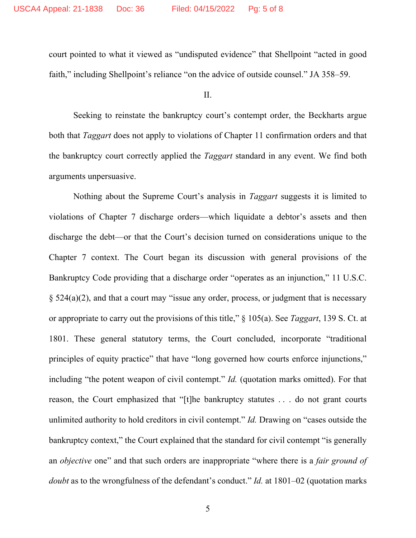court pointed to what it viewed as "undisputed evidence" that Shellpoint "acted in good faith," including Shellpoint's reliance "on the advice of outside counsel." JA 358–59.

II.

Seeking to reinstate the bankruptcy court's contempt order, the Beckharts argue both that *Taggart* does not apply to violations of Chapter 11 confirmation orders and that the bankruptcy court correctly applied the *Taggart* standard in any event. We find both arguments unpersuasive.

Nothing about the Supreme Court's analysis in *Taggart* suggests it is limited to violations of Chapter 7 discharge orders—which liquidate a debtor's assets and then discharge the debt—or that the Court's decision turned on considerations unique to the Chapter 7 context. The Court began its discussion with general provisions of the Bankruptcy Code providing that a discharge order "operates as an injunction," 11 U.S.C. § 524(a)(2), and that a court may "issue any order, process, or judgment that is necessary or appropriate to carry out the provisions of this title," § 105(a). See *Taggart*, 139 S. Ct. at 1801. These general statutory terms, the Court concluded, incorporate "traditional principles of equity practice" that have "long governed how courts enforce injunctions," including "the potent weapon of civil contempt." *Id.* (quotation marks omitted). For that reason, the Court emphasized that "[t]he bankruptcy statutes . . . do not grant courts unlimited authority to hold creditors in civil contempt." *Id.* Drawing on "cases outside the bankruptcy context," the Court explained that the standard for civil contempt "is generally an *objective* one" and that such orders are inappropriate "where there is a *fair ground of doubt* as to the wrongfulness of the defendant's conduct." *Id.* at 1801–02 (quotation marks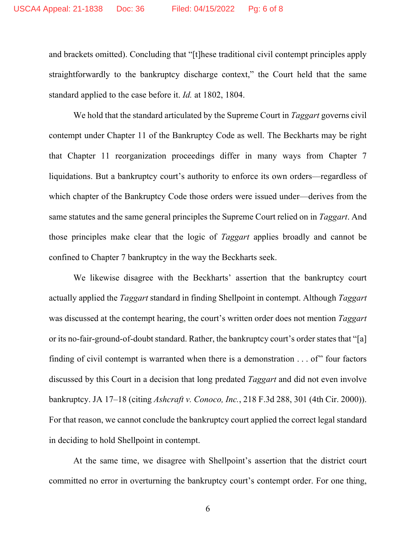and brackets omitted). Concluding that "[t]hese traditional civil contempt principles apply straightforwardly to the bankruptcy discharge context," the Court held that the same standard applied to the case before it. *Id.* at 1802, 1804.

We hold that the standard articulated by the Supreme Court in *Taggart* governs civil contempt under Chapter 11 of the Bankruptcy Code as well. The Beckharts may be right that Chapter 11 reorganization proceedings differ in many ways from Chapter 7 liquidations. But a bankruptcy court's authority to enforce its own orders—regardless of which chapter of the Bankruptcy Code those orders were issued under—derives from the same statutes and the same general principles the Supreme Court relied on in *Taggart*. And those principles make clear that the logic of *Taggart* applies broadly and cannot be confined to Chapter 7 bankruptcy in the way the Beckharts seek.

We likewise disagree with the Beckharts' assertion that the bankruptcy court actually applied the *Taggart* standard in finding Shellpoint in contempt. Although *Taggart* was discussed at the contempt hearing, the court's written order does not mention *Taggart* or its no-fair-ground-of-doubt standard. Rather, the bankruptcy court's order states that "[a] finding of civil contempt is warranted when there is a demonstration  $\dots$  of" four factors discussed by this Court in a decision that long predated *Taggart* and did not even involve bankruptcy. JA 17–18 (citing *Ashcraft v. Conoco, Inc.*, 218 F.3d 288, 301 (4th Cir. 2000)). For that reason, we cannot conclude the bankruptcy court applied the correct legal standard in deciding to hold Shellpoint in contempt.

At the same time, we disagree with Shellpoint's assertion that the district court committed no error in overturning the bankruptcy court's contempt order. For one thing,

6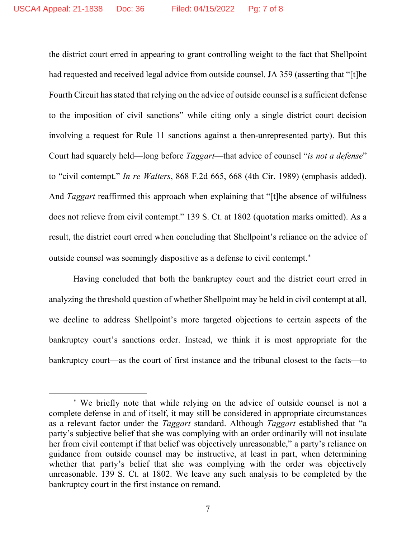the district court erred in appearing to grant controlling weight to the fact that Shellpoint had requested and received legal advice from outside counsel. JA 359 (asserting that "[t]he Fourth Circuit has stated that relying on the advice of outside counsel is a sufficient defense to the imposition of civil sanctions" while citing only a single district court decision involving a request for Rule 11 sanctions against a then-unrepresented party). But this Court had squarely held—long before *Taggart*—that advice of counsel "*is not a defense*" to "civil contempt." *In re Walters*, 868 F.2d 665, 668 (4th Cir. 1989) (emphasis added). And *Taggart* reaffirmed this approach when explaining that "[t]he absence of wilfulness does not relieve from civil contempt." 139 S. Ct. at 1802 (quotation marks omitted). As a result, the district court erred when concluding that Shellpoint's reliance on the advice of outside counsel was seemingly dispositive as a defense to civil contempt. [∗](#page-6-0)

Having concluded that both the bankruptcy court and the district court erred in analyzing the threshold question of whether Shellpoint may be held in civil contempt at all, we decline to address Shellpoint's more targeted objections to certain aspects of the bankruptcy court's sanctions order. Instead, we think it is most appropriate for the bankruptcy court—as the court of first instance and the tribunal closest to the facts—to

<span id="page-6-0"></span><sup>∗</sup> We briefly note that while relying on the advice of outside counsel is not a complete defense in and of itself, it may still be considered in appropriate circumstances as a relevant factor under the *Taggart* standard. Although *Taggart* established that "a party's subjective belief that she was complying with an order ordinarily will not insulate her from civil contempt if that belief was objectively unreasonable," a party's reliance on guidance from outside counsel may be instructive, at least in part, when determining whether that party's belief that she was complying with the order was objectively unreasonable. 139 S. Ct. at 1802. We leave any such analysis to be completed by the bankruptcy court in the first instance on remand.